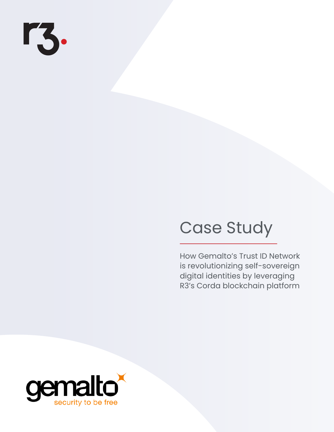# rz.

# Case Study

How Gemalto's Trust ID Network is revolutionizing self-sovereign digital identities by leveraging R3's Corda blockchain platform

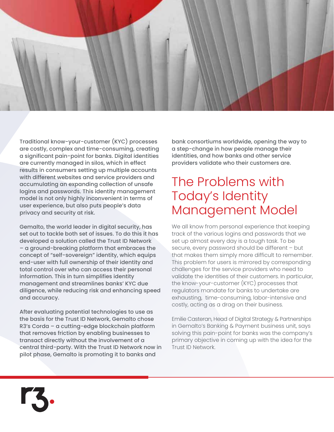

Traditional know-your-customer (KYC) processes are costly, complex and time-consuming, creating a significant pain-point for banks. Digital identities are currently managed in silos, which in effect results in consumers setting up multiple accounts with different websites and service providers and accumulating an expanding collection of unsafe logins and passwords. This identity management model is not only highly inconvenient in terms of user experience, but also puts people's data privacy and security at risk.

Gemalto, the world leader in digital security, has set out to tackle both set of issues. To do this it has developed a solution called the Trust ID Network – a ground-breaking platform that embraces the concept of "self-sovereign" identity, which equips end-user with full ownership of their identity and total control over who can access their personal information. This in turn simplifies identity management and streamlines banks' KYC due diligence, while reducing risk and enhancing speed and accuracy.

After evaluating potential technologies to use as the basis for the Trust ID Network, Gemalto chose R3's Corda – a cutting-edge blockchain platform that removes friction by enabling businesses to transact directly without the involvement of a central third-party. With the Trust ID Network now in pilot phase, Gemalto is promoting it to banks and

bank consortiums worldwide, opening the way to a step-change in how people manage their identities, and how banks and other service providers validate who their customers are.

#### The Problems with Today's Identity Management Model

We all know from personal experience that keeping track of the various logins and passwords that we set up almost every day is a tough task. To be secure, every password should be different – but that makes them simply more difficult to remember. This problem for users is mirrored by corresponding challenges for the service providers who need to validate the identities of their customers. In particular, the know-your-customer (KYC) processes that regulators mandate for banks to undertake are exhausting, time-consuming, labor-intensive and costly, acting as a drag on their business.

Emilie Casteran, Head of Digital Strategy & Partnerships in Gemalto's Banking & Payment business unit, says solving this pain-point for banks was the company's primary objective in coming up with the idea for the Trust ID Network.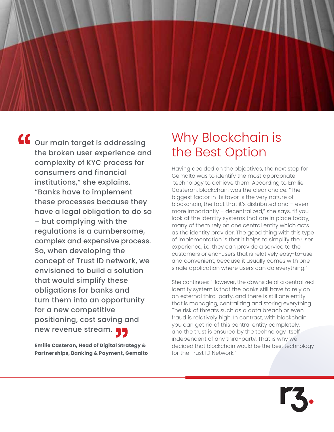$\overline{\mathbf{G}}$  our main target is addressing the broken user experience and complexity of KYC process for consumers and financial institutions," she explains. "Banks have to implement these processes because they have a legal obligation to do so – but complying with the regulations is a cumbersome, complex and expensive process. So, when developing the concept of Trust ID network, we envisioned to build a solution that would simplify these obligations for banks and turn them into an opportunity for a new competitive positioning, cost saving and new revenue stream.

> **Emilie Casteran, Head of Digital Strategy & Partnerships, Banking & Payment, Gemalto**

### Why Blockchain is the Best Option

Having decided on the objectives, the next step for Gemalto was to identify the most appropriate technology to achieve them. According to Emilie Casteran, blockchain was the clear choice. "The biggest factor in its favor is the very nature of blockchain, the fact that it's distributed and – even more importantly – decentralized," she says. "If you look at the identity systems that are in place today, many of them rely on one central entity which acts as the identity provider. The good thing with this type of implementation is that it helps to simplify the user experience, i.e. they can provide a service to the customers or end-users that is relatively easy-to-use and convenient, because it usually comes with one single application where users can do everything."

She continues: "However, the downside of a centralized identity system is that the banks still have to rely on an external third-party, and there is still one entity that is managing, centralizing and storing everything. The risk of threats such as a data breach or even fraud is relatively high. In contrast, with blockchain you can get rid of this central entity completely, and the trust is ensured by the technology itself, independent of any third-party. That is why we decided that blockchain would be the best technology for the Trust ID Network."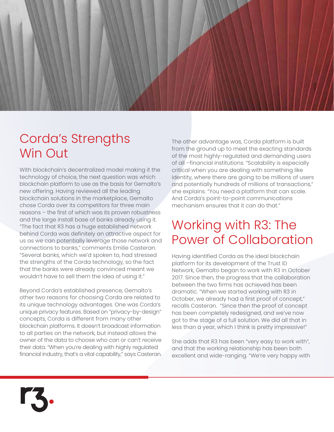

### Corda's Strengths Win Out

With blockchain's decentralized model making it the technology of choice, the next question was which blockchain platform to use as the basis for Gemalto's new offering. Having reviewed all the leading blockchain solutions in the marketplace, Gemalto chose Corda over its competitors for three main reasons – the first of which was its proven robustness and the large install base of banks already using it. "The fact that R3 has a huge established network behind Corda was definitely an attractive aspect for us as we can potentially leverage those network and connections to banks," comments Emilie Casteran. "Several banks, which we'd spoken to, had stressed the strengths of the Corda technology, so the fact that the banks were already convinced meant we wouldn't have to sell them the idea of using it."

Beyond Corda's established presence, Gemalto's other two reasons for choosing Corda are related to its unique technology advantages. One was Corda's unique privacy features. Based on "privacy-by-design" concepts, Corda is different from many other blockchain platforms. It doesn't broadcast information to all parties on the network, but instead allows the owner of the data to choose who can or can't receive their data. "When you're dealing with highly regulated financial industry, that's a vital capability," says Casteran. The other advantage was, Corda platform is built from the ground up to meet the exacting standards of the most highly-regulated and demanding users of all –financial institutions. "Scalability is especially critical when you are dealing with something like identity, where there are going to be millions of users and potentially hundreds of millions of transactions," she explains. "You need a platform that can scale. And Corda's point-to-point communications mechanism ensures that it can do that."

### Working with R3: The Power of Collaboration

Having identified Corda as the ideal blockchain platform for its development of the Trust ID Network, Gemalto began to work with R3 in October 2017. Since then, the progress that the collaboration between the two firms has achieved has been dramatic. "When we started working with R3 in October, we already had a first proof of concept," recalls Casteran. "Since then the proof of concept has been completely redesigned, and we've now got to the stage of a full solution. We did all that in less than a year, which I think is pretty impressive!"

She adds that R3 has been "very easy to work with", and that the working relationship has been both excellent and wide-ranging. "We're very happy with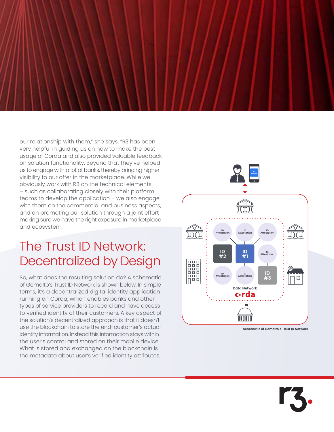our relationship with them," she says. "R3 has been very helpful in guiding us on how to make the best usage of Corda and also provided valuable feedback on solution functionality. Beyond that they've helped us to engage with a lot of banks, thereby bringing higher visibility to our offer in the marketplace. While we obviously work with R3 on the technical elements – such as collaborating closely with their platform teams to develop the application – we also engage with them on the commercial and business aspects, and on promoting our solution through a joint effort making sure we have the right exposure in marketplace and ecosystem."

#### The Trust ID Network: Decentralized by Design

So, what does the resulting solution do? A schematic of Gemalto's Trust ID Network is shown below. In simple terms, it's a decentralized digital identity application running on Corda, which enables banks and other types of service providers to record and have access to verified identity of their customers. A key aspect of the solution's decentralized approach is that it doesn't use the blockchain to store the end-customer's actual identity information. Instead this information stays within the user's control and stored on their mobile device. What is stored and exchanged on the blockchain is the metadata about user's verified identity attributes.



**Schematic of Gemalto's Trust ID Network**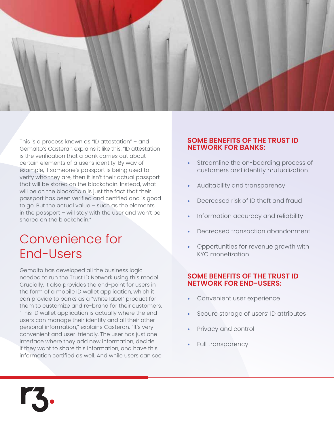

This is a process known as "ID attestation" – and Gemalto's Casteran explains it like this: "ID attestation is the verification that a bank carries out about certain elements of a user's identity. By way of example, if someone's passport is being used to verify who they are, then it isn't their actual passport that will be stored on the blockchain. Instead, what will be on the blockchain is just the fact that their passport has been verified and certified and is good to go. But the actual value – such as the elements in the passport – will stay with the user and won't be shared on the blockchain."

### Convenience for End-Users

Gemalto has developed all the business logic needed to run the Trust ID Network using this model. Crucially, it also provides the end-point for users in the form of a mobile ID wallet application, which it can provide to banks as a "white label" product for them to customize and re-brand for their customers. "This ID wallet application is actually where the end users can manage their identity and all their other personal information," explains Casteran. "It's very convenient and user-friendly. The user has just one interface where they add new information, decide if they want to share this information, and have this information certified as well. And while users can see

#### **SOME BENEFITS OF THE TRUST ID NETWORK FOR BANKS:**

- Streamline the on-boarding process of customers and identity mutualization.
- Auditability and transparency
- Decreased risk of ID theft and fraud
- Information accuracy and reliability
- Decreased transaction abandonment
- Opportunities for revenue growth with KYC monetization

#### **SOME BENEFITS OF THE TRUST ID NETWORK FOR END-USERS:**

- Convenient user experience
- Secure storage of users' ID attributes
- Privacy and control
- Full transparency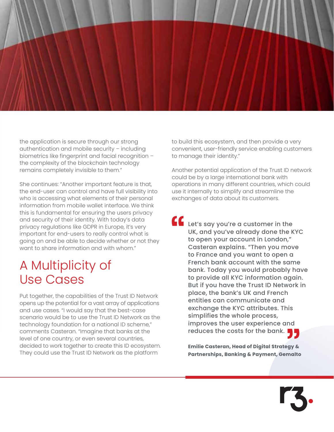

the application is secure through our strong authentication and mobile security – including biometrics like fingerprint and facial recognition – the complexity of the blockchain technology remains completely invisible to them."

She continues: "Another important feature is that, the end-user can control and have full visibility into who is accessing what elements of their personal information from mobile wallet interface. We think this is fundamental for ensuring the users privacy and security of their identity. With today's data privacy regulations like GDPR in Europe, it's very important for end-users to really control what is going on and be able to decide whether or not they want to share information and with whom."

#### A Multiplicity of Use Cases

Put together, the capabilities of the Trust ID Network opens up the potential for a vast array of applications and use cases. "I would say that the best-case scenario would be to use the Trust ID Network as the technology foundation for a national ID scheme," comments Casteran. "Imagine that banks at the level of one country, or even several countries, decided to work together to create this ID ecosystem. They could use the Trust ID Network as the platform

to build this ecosystem, and then provide a very convenient, user-friendly service enabling customers to manage their identity."

Another potential application of the Trust ID network could be by a large international bank with operations in many different countries, which could use it internally to simplify and streamline the exchanges of data about its customers.

Let's say you're a customer in the UK, and you've already done the KYC to open your account in London," Casteran explains. "Then you move to France and you want to open a French bank account with the same bank. Today you would probably have to provide all KYC information again. But if you have the Trust ID Network in place, the bank's UK and French entities can communicate and exchange the KYC attributes. This simplifies the whole process, improves the user experience and reduces the costs for the bank.

> **Emilie Casteran, Head of Digital Strategy & Partnerships, Banking & Payment, Gemalto**